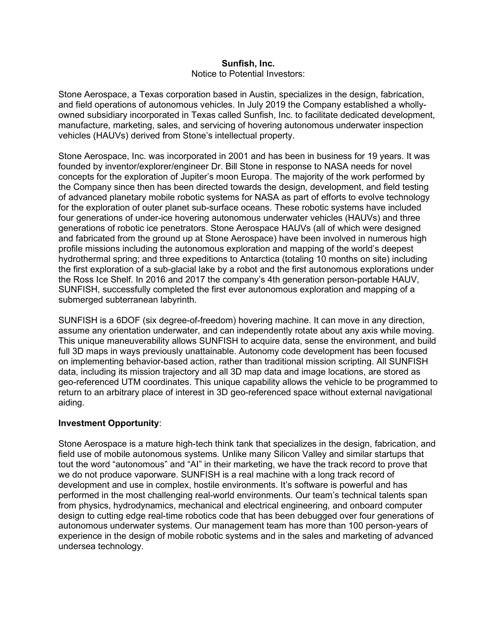## Sunfish, Inc.

## Notice to Potential Investors:

Stone Aerospace, a Texas corporation based in Austin, specializes in the design, fabrication, and field operations of autonomous vehicles. In July 2019 the Company established a whollyowned subsidiary incorporated in Texas called Sunfish, Inc. to facilitate dedicated development, manufacture, marketing, sales, and servicing of hovering autonomous underwater inspection vehicles (HAUVs) derived from Stone's intellectual property.

Stone Aerospace, Inc. was incorporated in 2001 and has been in business for 19 years. It was founded by inventor/explorer/engineer Dr. Bill Stone in response to NASA needs for novel concepts for the exploration of Jupiter's moon Europa. The majority of the work performed by the Company since then has been directed towards the design, development, and field testing of advanced planetary mobile robotic systems for NASA as part of efforts to evolve technology for the exploration of outer planet sub-surface oceans. These robotic systems have included four generations of under-ice hovering autonomous underwater vehicles (HAUVs) and three generations of robotic ice penetrators. Stone Aerospace HAUVs (all of which were designed and fabricated from the ground up at Stone Aerospace) have been involved in numerous high profile missions including the autonomous exploration and mapping of the world's deepest hydrothermal spring; and three expeditions to Antarctica (totaling 10 months on site) including the first exploration of a sub-glacial lake by a robot and the first autonomous explorations under the Ross Ice Shelf. In 2016 and 2017 the company's 4th generation person-portable HAUV, SUNFISH, successfully completed the first ever autonomous exploration and mapping of a submerged subterranean labyrinth.

SUNFISH is a 6DOF (six degree-of-freedom) hovering machine. It can move in any direction, assume any orientation underwater, and can independently rotate about any axis while moving. This unique maneuverability allows SUNFISH to acquire data, sense the environment, and build full 3D maps in ways previously unattainable. Autonomy code development has been focused on implementing behavior-based action, rather than traditional mission scripting. All SUNFISH data, including its mission trajectory and all 3D map data and image locations, are stored as geo-referenced UTM coordinates. This unique capability allows the vehicle to be programmed to return to an arbitrary place of interest in 3D geo-referenced space without external navigational aiding.

## Investment Opportunity:

Stone Aerospace is a mature high-tech think tank that specializes in the design, fabrication, and field use of mobile autonomous systems. Unlike many Silicon Valley and similar startups that tout the word "autonomous" and "AI" in their marketing, we have the track record to prove that we do not produce vaporware. SUNFISH is a real machine with a long track record of development and use in complex, hostile environments. It's software is powerful and has performed in the most challenging real-world environments. Our team's technical talents span from physics, hydrodynamics, mechanical and electrical engineering, and onboard computer design to cutting edge real-time robotics code that has been debugged over four generations of autonomous underwater systems. Our management team has more than 100 person-years of experience in the design of mobile robotic systems and in the sales and marketing of advanced undersea technology.